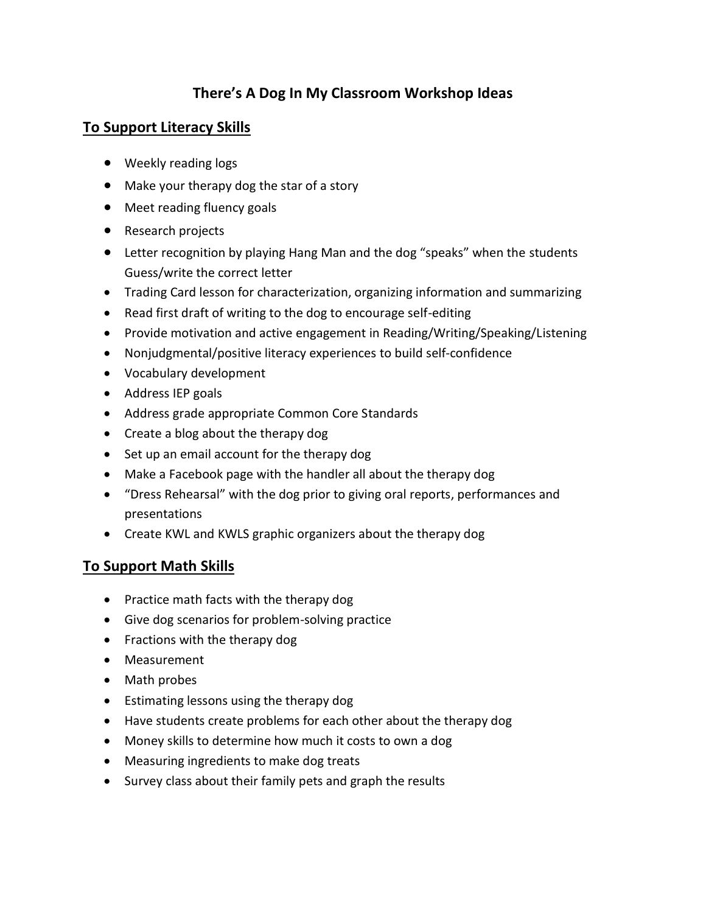# **There's A Dog In My Classroom Workshop Ideas**

#### **To Support Literacy Skills**

- Weekly reading logs
- Make your therapy dog the star of a story
- Meet reading fluency goals
- Research projects
- Letter recognition by playing Hang Man and the dog "speaks" when the students Guess/write the correct letter
- Trading Card lesson for characterization, organizing information and summarizing
- Read first draft of writing to the dog to encourage self-editing
- Provide motivation and active engagement in Reading/Writing/Speaking/Listening
- Nonjudgmental/positive literacy experiences to build self-confidence
- Vocabulary development
- Address IEP goals
- Address grade appropriate Common Core Standards
- Create a blog about the therapy dog
- Set up an email account for the therapy dog
- Make a Facebook page with the handler all about the therapy dog
- "Dress Rehearsal" with the dog prior to giving oral reports, performances and presentations
- Create KWL and KWLS graphic organizers about the therapy dog

#### **To Support Math Skills**

- Practice math facts with the therapy dog
- Give dog scenarios for problem-solving practice
- Fractions with the therapy dog
- Measurement
- Math probes
- Estimating lessons using the therapy dog
- Have students create problems for each other about the therapy dog
- Money skills to determine how much it costs to own a dog
- Measuring ingredients to make dog treats
- Survey class about their family pets and graph the results